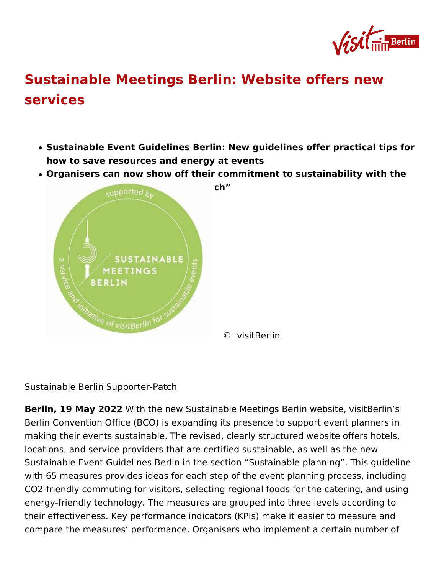## [Sustainable Meetings Berlin: Website o](https://about.visitberlin.de/en/press/press-releases/sustainable-meetings-berlin-website-offers-new-services)ffers [service](https://about.visitberlin.de/en/press/press-releases/sustainable-meetings-berlin-website-offers-new-services)s

- Sustainable Event Guidelines Berlin: New guidelines offer pract how to save resources and energy at events
- . Organisers can now show off their commitment to sustainability Sustainable Berlin Supporter Patch

© visitBerlin

Sustainable Berlin Supporter-Patch

Berlin, 19 May 20 22h the new Sustainable Meetings Berlin website, Berlin Convention Office (BCO) is expanding its presence to suppor making their events sustainable. The revised, clearly structured we locations, and service providers that are certified sustainable, as v Sustainable Event Guidelines Berlin in the section Sustainable pla with 65 measures provides ideas for each step of the event plannin CO2-friendly commuting for visitors, selecting regional foods for th energy-friendly technology. The measures are grouped into three le their effectiveness. Key performance indicators (KPIs) make it easi compare the measures performance. Organisers who implement a c